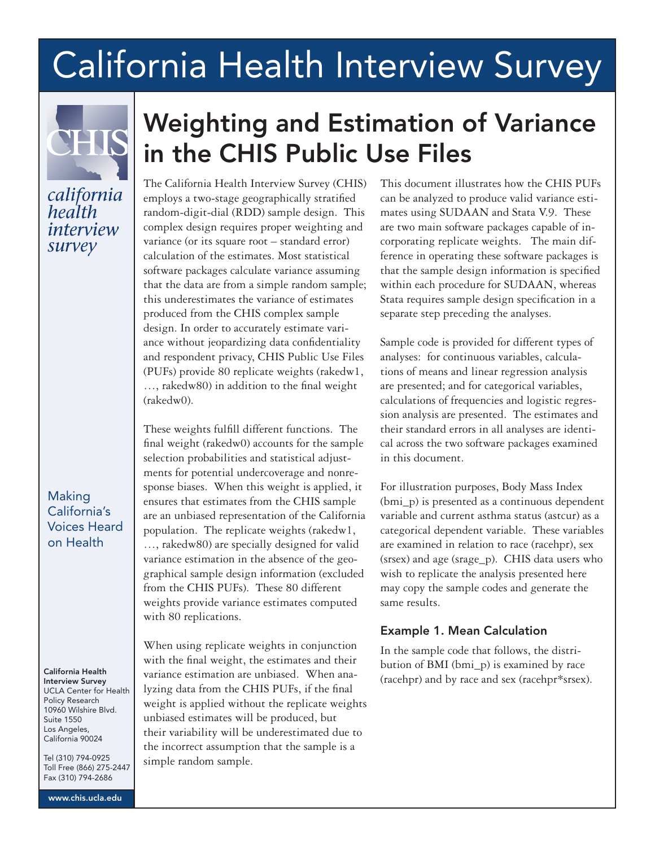# **California Health Interview Survey**



### california health interview survey

Making California's Voices Heard on Health

#### California Health Interview Survey

UCLA Center for Health Policy Research 10960 Wilshire Blvd. Suite 1550 Los Angeles, California 90024

Tel (310) 794-0925 Toll Free (866) 275-2447 Fax (310) 794-2686

www.chis.ucla.edu

## Weighting and Estimation of Variance in the CHIS Public Use Files

The California Health Interview Survey (CHIS) employs a two-stage geographically stratified random-digit-dial (RDD) sample design. This complex design requires proper weighting and variance (or its square root – standard error) calculation of the estimates. Most statistical software packages calculate variance assuming that the data are from a simple random sample; this underestimates the variance of estimates produced from the CHIS complex sample design. In order to accurately estimate variance without jeopardizing data confidentiality and respondent privacy, CHIS Public Use Files (PUFs) provide 80 replicate weights (rakedw1, …, rakedw80) in addition to the final weight (rakedw0).

These weights fulfill different functions. The final weight (rakedw0) accounts for the sample selection probabilities and statistical adjustments for potential undercoverage and nonresponse biases. When this weight is applied, it ensures that estimates from the CHIS sample are an unbiased representation of the California population. The replicate weights (rakedw1, …, rakedw80) are specially designed for valid variance estimation in the absence of the geographical sample design information (excluded from the CHIS PUFs). These 80 different weights provide variance estimates computed with 80 replications.

When using replicate weights in conjunction with the final weight, the estimates and their variance estimation are unbiased. When analyzing data from the CHIS PUFs, if the final weight is applied without the replicate weights unbiased estimates will be produced, but their variability will be underestimated due to the incorrect assumption that the sample is a simple random sample.

This document illustrates how the CHIS PUFs can be analyzed to produce valid variance estimates using SUDAAN and Stata V.9. These are two main software packages capable of incorporating replicate weights. The main difference in operating these software packages is that the sample design information is specified within each procedure for SUDAAN, whereas Stata requires sample design specification in a separate step preceding the analyses.

Sample code is provided for different types of analyses: for continuous variables, calculations of means and linear regression analysis are presented; and for categorical variables, calculations of frequencies and logistic regression analysis are presented. The estimates and their standard errors in all analyses are identical across the two software packages examined in this document.

For illustration purposes, Body Mass Index (bmi\_p) is presented as a continuous dependent variable and current asthma status (astcur) as a categorical dependent variable. These variables are examined in relation to race (racehpr), sex (srsex) and age (srage\_p). CHIS data users who wish to replicate the analysis presented here may copy the sample codes and generate the same results.

#### Example 1. Mean Calculation

In the sample code that follows, the distribution of BMI (bmi\_p) is examined by race (racehpr) and by race and sex (racehpr\*srsex).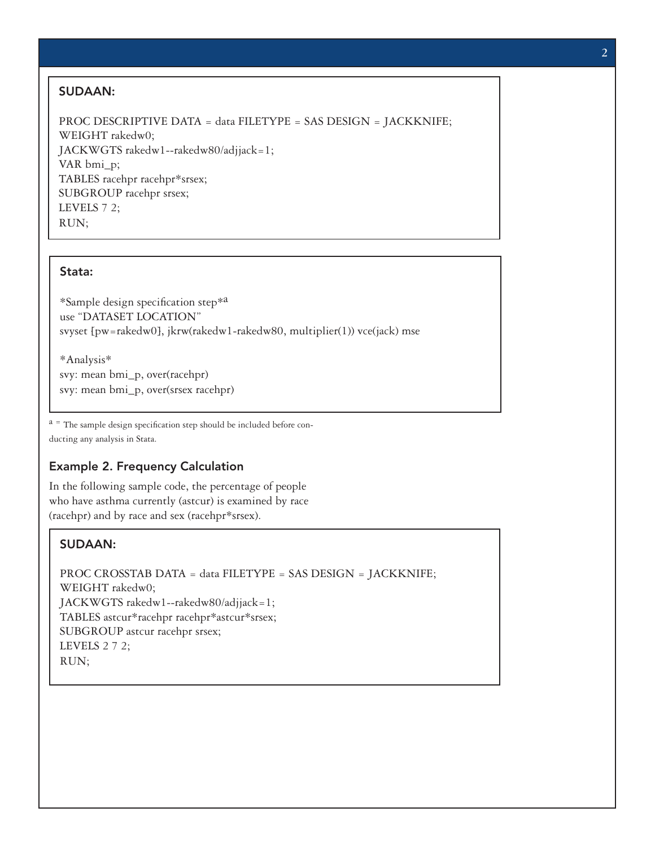#### SUDAAN:

PROC DESCRIPTIVE DATA = data FILETYPE = SAS DESIGN = JACKKNIFE; WEIGHT rakedw0; JACKWGTS rakedw1--rakedw80/adjjack=1; VAR bmi\_p; TABLES racehpr racehpr\*srsex; SUBGROUP racehpr srsex; LEVELS 7 2; RUN;

#### Stata:

\*Sample design specification step\*a use "DATASET LOCATION" svyset [pw=rakedw0], jkrw(rakedw1-rakedw80, multiplier(1)) vce(jack) mse

\*Analysis\* svy: mean bmi\_p, over(racehpr) svy: mean bmi\_p, over(srsex racehpr)

 $a =$ The sample design specification step should be included before conducting any analysis in Stata.

#### Example 2. Frequency Calculation

In the following sample code, the percentage of people who have asthma currently (astcur) is examined by race (racehpr) and by race and sex (racehpr\*srsex).

#### SUDAAN:

```
PROC CROSSTAB DATA = data FILETYPE = SAS DESIGN = JACKKNIFE;
WEIGHT rakedw0;
JACKWGTS rakedw1--rakedw80/adjjack=1;
TABLES astcur*racehpr racehpr*astcur*srsex;
SUBGROUP astcur racehpr srsex;
LEVELS 2 7 2;
RUN;
```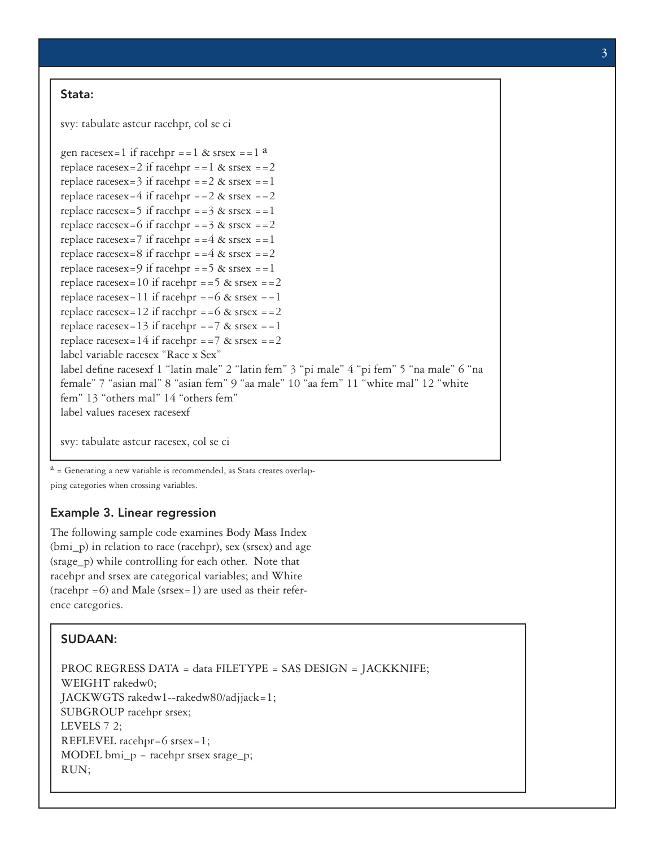#### Stata:

svy: tabulate astcur racehpr, col se ci

```
gen racesex=1 if racehpr ==1 & srsex ==1 areplace racesex=2 if racehpr ==1 \& srsex ==2
replace racesex=3 if racehpr ==2 \& srsex ==1replace racesex=4 if racehpr ==2 \& srsex ==2
replace racesex=5 if racehpr ==3 & srsex ==1replace racesex=6 if racehpr ==3 \& srsex ==2replace racesex=7 if racehpr ==4 \& srsex ==1
replace racesex=8 if racehpr ==4 \& srsex ==2
replace racesex=9 if racehpr ==5 \& srsex ==1
replace racesex=10 if racehpr ==5 \& srsex ==2
replace racesex=11 if racehpr ==6 \& srsex ==1
replace racesex=12 if racehpr ==6 \& srsex ==2
replace racesex=13 if racehpr ==7 \& srsex ==1
replace racesex=14 if racehpr ==7 \& srsex ==2
label variable racesex "Race x Sex"
label define racesexf 1 "latin male" 2 "latin fem" 3 "pi male" 4 "pi fem" 5 "na male" 6 "na 
female" 7 "asian mal" 8 "asian fem" 9 "aa male" 10 "aa fem" 11 "white mal" 12 "white 
fem" 13 "others mal" 14 "others fem"
label values racesex racesexf
```
svy: tabulate astcur racesex, col se ci

 $a =$  Generating a new variable is recommended, as Stata creates overlapping categories when crossing variables.

#### Example 3. Linear regression

The following sample code examines Body Mass Index (bmi\_p) in relation to race (racehpr), sex (srsex) and age (srage\_p) while controlling for each other. Note that racehpr and srsex are categorical variables; and White  $(racehpr = 6)$  and Male  $(srsex=1)$  are used as their reference categories.

#### SUDAAN:

```
PROC REGRESS DATA = data FILETYPE = SAS DESIGN = JACKKNIFE;
WEIGHT rakedw0;
JACKWGTS rakedw1--rakedw80/adjjack=1;
SUBGROUP racehpr srsex;
LEVELS 7 2;
REFLEVEL racehpr=6 srsex=1; 
MODEL bmi_p = racehpr srsex srage_p;
RUN;
```